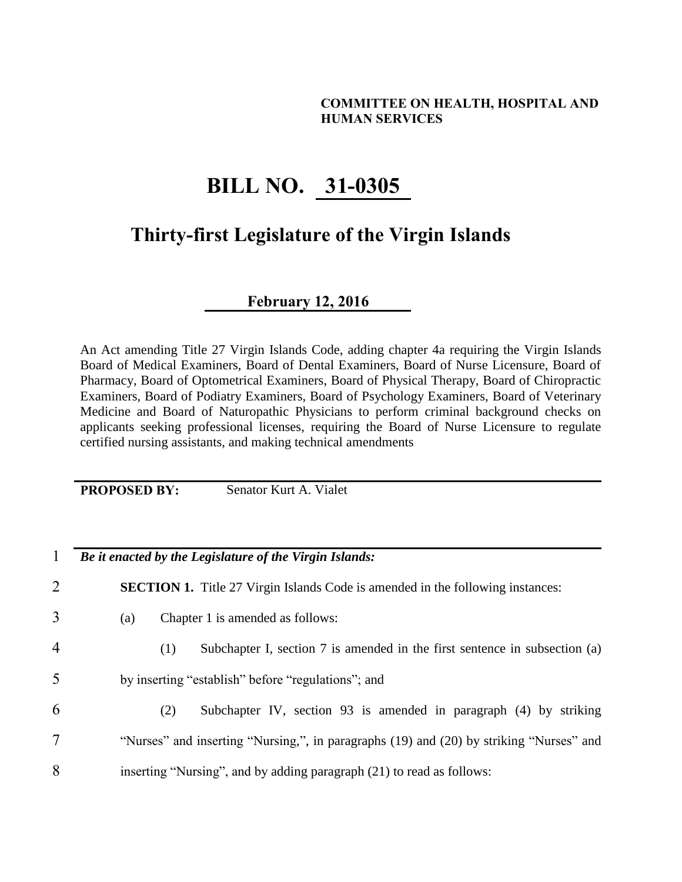## **COMMITTEE ON HEALTH, HOSPITAL AND HUMAN SERVICES**

## **BILL NO. 31-0305**

## **Thirty-first Legislature of the Virgin Islands**

**February 12, 2016**

An Act amending Title 27 Virgin Islands Code, adding chapter 4a requiring the Virgin Islands Board of Medical Examiners, Board of Dental Examiners, Board of Nurse Licensure, Board of Pharmacy, Board of Optometrical Examiners, Board of Physical Therapy, Board of Chiropractic Examiners, Board of Podiatry Examiners, Board of Psychology Examiners, Board of Veterinary Medicine and Board of Naturopathic Physicians to perform criminal background checks on applicants seeking professional licenses, requiring the Board of Nurse Licensure to regulate certified nursing assistants, and making technical amendments

**PROPOSED BY:** Senator Kurt A. Vialet

1 *Be it enacted by the Legislature of the Virgin Islands:*

2 **SECTION 1.** Title 27 Virgin Islands Code is amended in the following instances:

- 3 (a) Chapter 1 is amended as follows:
- 4 (1) Subchapter I, section 7 is amended in the first sentence in subsection (a)
- 5 by inserting "establish" before "regulations"; and
- 6 (2) Subchapter IV, section 93 is amended in paragraph (4) by striking 7 "Nurses" and inserting "Nursing,", in paragraphs (19) and (20) by striking "Nurses" and 8 inserting "Nursing", and by adding paragraph (21) to read as follows: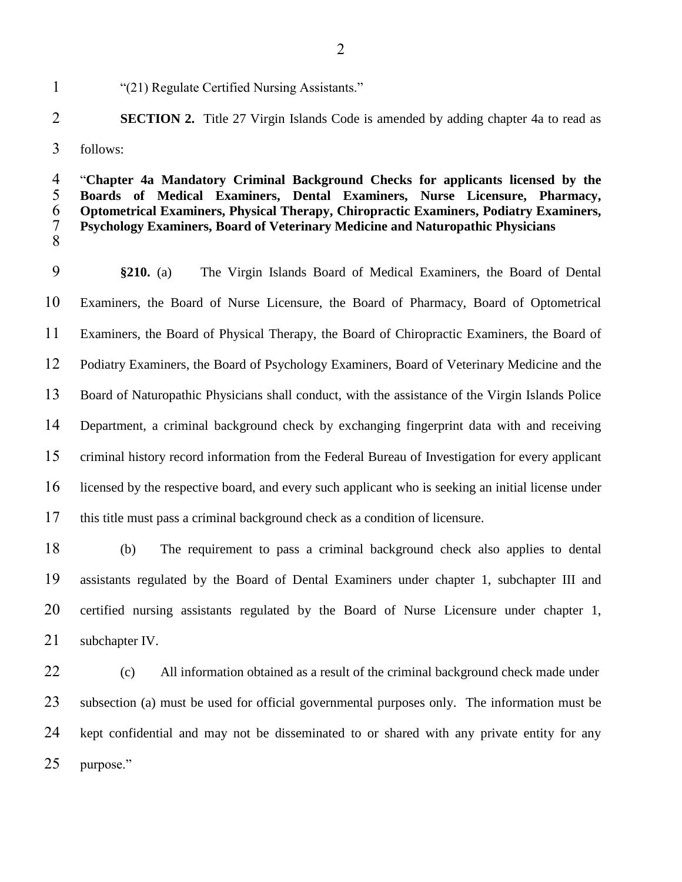"(21) Regulate Certified Nursing Assistants."

## **SECTION 2.** Title 27 Virgin Islands Code is amended by adding chapter 4a to read as follows:

 "**Chapter 4a Mandatory Criminal Background Checks for applicants licensed by the Boards of Medical Examiners, Dental Examiners, Nurse Licensure, Pharmacy, Optometrical Examiners, Physical Therapy, Chiropractic Examiners, Podiatry Examiners, Psychology Examiners, Board of Veterinary Medicine and Naturopathic Physicians** 

 **§210.** (a) The Virgin Islands Board of Medical Examiners, the Board of Dental Examiners, the Board of Nurse Licensure, the Board of Pharmacy, Board of Optometrical Examiners, the Board of Physical Therapy, the Board of Chiropractic Examiners, the Board of Podiatry Examiners, the Board of Psychology Examiners, Board of Veterinary Medicine and the Board of Naturopathic Physicians shall conduct, with the assistance of the Virgin Islands Police Department, a criminal background check by exchanging fingerprint data with and receiving criminal history record information from the Federal Bureau of Investigation for every applicant licensed by the respective board, and every such applicant who is seeking an initial license under this title must pass a criminal background check as a condition of licensure.

 (b) The requirement to pass a criminal background check also applies to dental assistants regulated by the Board of Dental Examiners under chapter 1, subchapter III and certified nursing assistants regulated by the Board of Nurse Licensure under chapter 1, 21 subchapter IV.

22 (c) All information obtained as a result of the criminal background check made under subsection (a) must be used for official governmental purposes only. The information must be kept confidential and may not be disseminated to or shared with any private entity for any purpose."